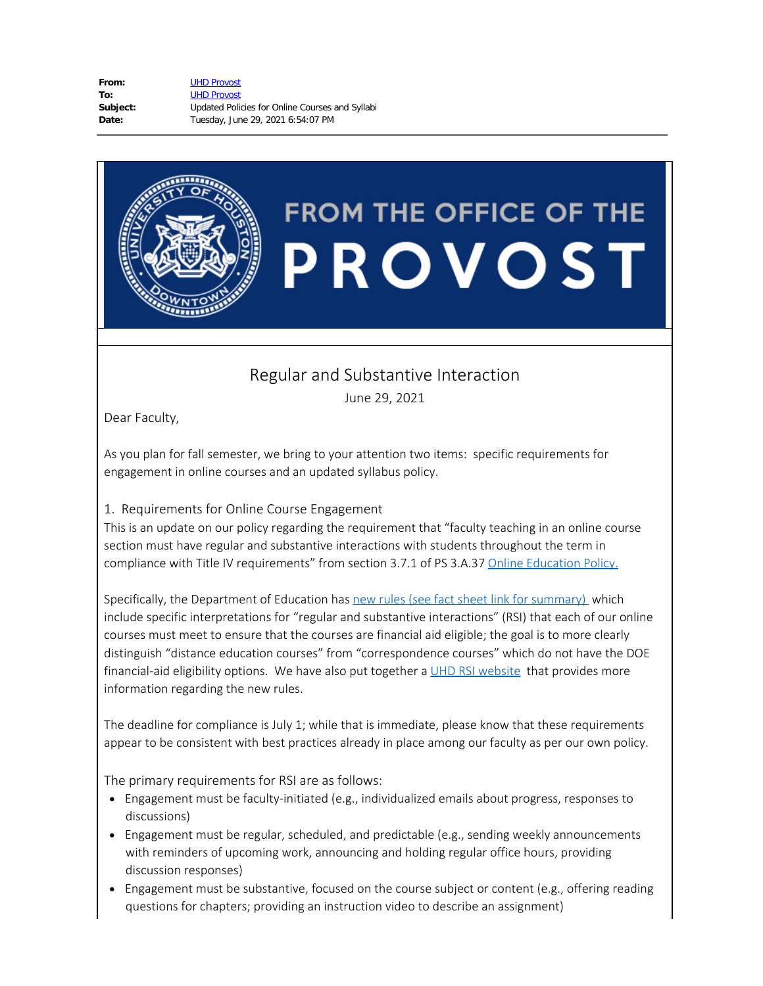| From:    | <b>UHD Provost</b>                              |
|----------|-------------------------------------------------|
| To:      | <b>UHD Provost</b>                              |
| Subject: | Updated Policies for Online Courses and Syllabi |
| Date:    | Tuesday, June 29, 2021 6:54:07 PM               |

## **FROM THE OFFICE OF THE** PROVOST

## Regular and Substantive Interaction

June 29, 2021

Dear Faculty,

As you plan for fall semester, we bring to your attention two items: specific requirements for engagement in online courses and an updated syllabus policy.

## 1. Requirements for Online Course Engagement

This is an update on our policy regarding the requirement that "faculty teaching in an online course section must have regular and substantive interactions with students throughout the term in compliance with Title IV requirements" from section 3.7.1 of PS 3.A.37 Online [Education](https://www.uhd.edu/administration/employment-services-operations/resources/Documents/PS03A37.pdf) Policy.

Specifically, the Department of Education has new [rules](https://www2.ed.gov/policy/highered/reg/hearulemaking/2018/index.html) (see fact sheet link for summary) which include specific interpretations for "regular and substantive interactions" (RSI) that each of our online courses must meet to ensure that the courses are financial aid eligible; the goal is to more clearly distinguish "distance education courses" from "correspondence courses" which do not have the DOE financial-aid eligibility options. We have also put together a UHD RSI [website](https://www.uhd.edu/provost/Pages/RSI.aspx) that provides more information regarding the new rules.

The deadline for compliance is July 1; while that is immediate, please know that these requirements appear to be consistent with best practices already in place among our faculty as per our own policy.

The primary requirements for RSI are as follows:

- · Engagement must be faculty-initiated (e.g., individualized emails about progress, responses to discussions)
- · Engagement must be regular, scheduled, and predictable (e.g., sending weekly announcements with reminders of upcoming work, announcing and holding regular office hours, providing discussion responses)
- · Engagement must be substantive, focused on the course subject or content (e.g., offering reading questions for chapters; providing an instruction video to describe an assignment)